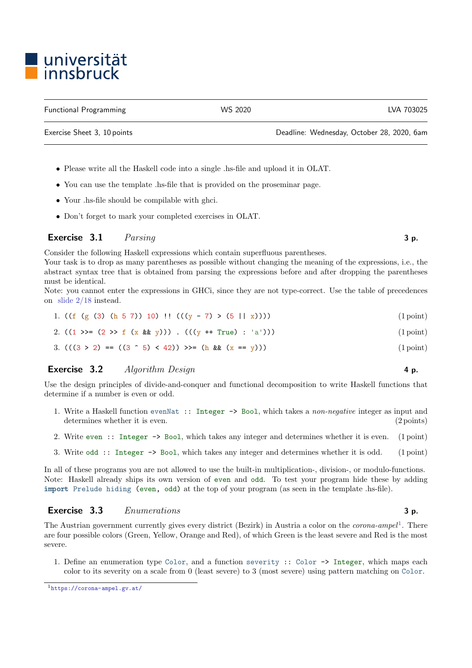## • Please write all the Haskell code into a single .hs-file and upload it in OLAT.

- You can use the template .hs-file that is provided on the proseminar page.
- Your .hs-file should be compilable with ghci.
- Don't forget to mark your completed exercises in OLAT.

### Exercise  $3.1$  Parsing 3 p.

Consider the following Haskell expressions which contain superfluous parentheses.

Your task is to drop as many parentheses as possible without changing the meaning of the expressions, i.e., the abstract syntax tree that is obtained from parsing the expressions before and after dropping the parentheses must be identical.

Note: you cannot enter the expressions in GHCi, since they are not type-correct. Use the table of precedences on [slide 2/18](http://cl-informatik.uibk.ac.at/teaching/ws20/fp/slides/02x1.pdf#page=18) instead.

|  |  |  | 1. $((f (g (3) (h 5 7)) 10) ! (((y - 7) > (5    x))))$ | $(1 \text{ point})$ |
|--|--|--|--------------------------------------------------------|---------------------|
|  |  |  |                                                        |                     |

- 2.  $((1 \gg = (2 \gg f (x \&g y)))$  .  $(((y + f True) : 'a')))$  (1 point)
- 3.  $(((3 > 2) == ((3 \rceil 5) < 42)) >> (h \& (x == y))$  (1 point)

### **Exercise 3.2** Algorithm Design  $\blacksquare$  4 p.

Use the design principles of divide-and-conquer and functional decomposition to write Haskell functions that determine if a number is even or odd.

- 1. Write a Haskell function evenNat :: Integer -> Bool, which takes a non-negative integer as input and determines whether it is even. (2 points) (2 points)
- 2. Write even :: Integer -> Bool, which takes any integer and determines whether it is even. (1 point)
- 3. Write odd :: Integer -> Bool, which takes any integer and determines whether it is odd. (1 point)

In all of these programs you are not allowed to use the built-in multiplication-, division-, or modulo-functions. Note: Haskell already ships its own version of even and odd. To test your program hide these by adding import Prelude hiding (even, odd) at the top of your program (as seen in the template .hs-file).

### Exercise 3.3 Enumerations 3 p.

The Austrian government currently gives every district (Bezirk) in Austria a color on the *corona-ampel*<sup>[1](#page-0-0)</sup>. There are four possible colors (Green, Yellow, Orange and Red), of which Green is the least severe and Red is the most severe.

1. Define an enumeration type Color, and a function severity :: Color -> Integer, which maps each color to its severity on a scale from 0 (least severe) to 3 (most severe) using pattern matching on Color.

# universität innsbruck

Exercise Sheet 3, 10 points Deadline: Wednesday, October 28, 2020, 6am

<span id="page-0-0"></span><sup>1</sup><https://corona-ampel.gv.at/>